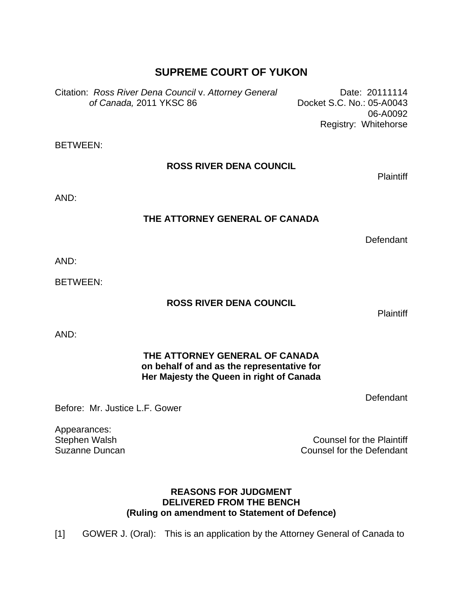# **SUPREME COURT OF YUKON**

Citation: *Ross River Dena Council* v. *Attorney General* Date: 20111114 *of Canada, 2011 YKSC 86* Docket S.C. No.: 05-A0043 06-A0092

BETWEEN:

## **ROSS RIVER DENA COUNCIL**

**Plaintiff** 

Registry: Whitehorse

AND:

#### **THE ATTORNEY GENERAL OF CANADA**

Defendant

AND:

BETWEEN:

## **ROSS RIVER DENA COUNCIL**

**Plaintiff** 

AND:

#### **THE ATTORNEY GENERAL OF CANADA on behalf of and as the representative for Her Majesty the Queen in right of Canada**

**Defendant** 

Before: Mr. Justice L.F. Gower

Appearances: Stephen Walsh Suzanne Duncan

Counsel for the Plaintiff Counsel for the Defendant

## **REASONS FOR JUDGMENT DELIVERED FROM THE BENCH (Ruling on amendment to Statement of Defence)**

[1] GOWER J. (Oral): This is an application by the Attorney General of Canada to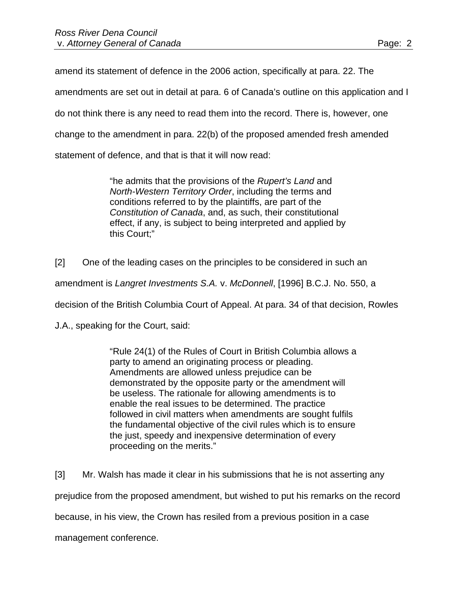amend its statement of defence in the 2006 action, specifically at para. 22. The amendments are set out in detail at para. 6 of Canada's outline on this application and I do not think there is any need to read them into the record. There is, however, one change to the amendment in para. 22(b) of the proposed amended fresh amended statement of defence, and that is that it will now read:

> "he admits that the provisions of the *Rupert's Land* and *North-Western Territory Order*, including the terms and conditions referred to by the plaintiffs, are part of the *Constitution of Canada*, and, as such, their constitutional effect, if any, is subject to being interpreted and applied by this Court;"

[2] One of the leading cases on the principles to be considered in such an

amendment is *Langret Investments S.A.* v. *McDonnell*, [1996] B.C.J. No. 550, a

decision of the British Columbia Court of Appeal. At para. 34 of that decision, Rowles

J.A., speaking for the Court, said:

"Rule 24(1) of the Rules of Court in British Columbia allows a party to amend an originating process or pleading. Amendments are allowed unless prejudice can be demonstrated by the opposite party or the amendment will be useless. The rationale for allowing amendments is to enable the real issues to be determined. The practice followed in civil matters when amendments are sought fulfils the fundamental objective of the civil rules which is to ensure the just, speedy and inexpensive determination of every proceeding on the merits."

[3] Mr. Walsh has made it clear in his submissions that he is not asserting any prejudice from the proposed amendment, but wished to put his remarks on the record because, in his view, the Crown has resiled from a previous position in a case

management conference.